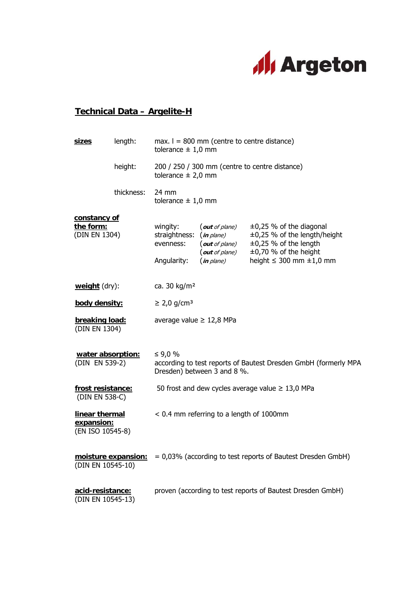

## **Technical Data – Argelite-H**

|  | <b>sizes</b>                                                                                                                                                                                                                                                                                                                           | length:    | max. $I = 800$ mm (centre to centre distance)<br>tolerance $\pm$ 1,0 mm                                   |                                                                                     |                                                                                                                                                               |
|--|----------------------------------------------------------------------------------------------------------------------------------------------------------------------------------------------------------------------------------------------------------------------------------------------------------------------------------------|------------|-----------------------------------------------------------------------------------------------------------|-------------------------------------------------------------------------------------|---------------------------------------------------------------------------------------------------------------------------------------------------------------|
|  |                                                                                                                                                                                                                                                                                                                                        | height:    | 200 / 250 / 300 mm (centre to centre distance)<br>tolerance $\pm$ 2,0 mm                                  |                                                                                     |                                                                                                                                                               |
|  |                                                                                                                                                                                                                                                                                                                                        | thickness: | $24 \text{ mm}$<br>tolerance $\pm$ 1,0 mm                                                                 |                                                                                     |                                                                                                                                                               |
|  | constancy of<br>the form:<br>(DIN EN 1304)<br>weight (dry):<br>body density:<br>breaking load:<br>(DIN EN 1304)<br>water absorption:<br>(DIN EN 539-2)<br>frost resistance:<br>(DIN EN 538-C)<br>linear thermal<br>expansion:<br>(EN ISO 10545-8)<br>moisture expansion:<br>(DIN EN 10545-10)<br>acid-resistance:<br>(DIN EN 10545-13) |            | wingity:<br>straightness:<br>evenness:<br>Angularity:                                                     | (out of plane)<br>(in plane)<br>(out of plane)<br>(out of plane)<br>$(in$ plane $)$ | $\pm 0.25$ % of the diagonal<br>±0,25 % of the length/height<br>$\pm 0.25$ % of the length<br>$\pm 0,70$ % of the height<br>height $\leq$ 300 mm $\pm$ 1,0 mm |
|  |                                                                                                                                                                                                                                                                                                                                        |            | ca. 30 kg/m <sup>2</sup>                                                                                  |                                                                                     |                                                                                                                                                               |
|  |                                                                                                                                                                                                                                                                                                                                        |            | $\geq$ 2,0 g/cm <sup>3</sup>                                                                              |                                                                                     |                                                                                                                                                               |
|  |                                                                                                                                                                                                                                                                                                                                        |            | average value $\geq$ 12,8 MPa                                                                             |                                                                                     |                                                                                                                                                               |
|  |                                                                                                                                                                                                                                                                                                                                        |            | ≤ 9,0 %<br>according to test reports of Bautest Dresden GmbH (formerly MPA<br>Dresden) between 3 and 8 %. |                                                                                     |                                                                                                                                                               |
|  |                                                                                                                                                                                                                                                                                                                                        |            | 50 frost and dew cycles average value $\geq$ 13,0 MPa                                                     |                                                                                     |                                                                                                                                                               |
|  |                                                                                                                                                                                                                                                                                                                                        |            | < 0.4 mm referring to a length of 1000mm                                                                  |                                                                                     |                                                                                                                                                               |
|  |                                                                                                                                                                                                                                                                                                                                        |            | = 0,03% (according to test reports of Bautest Dresden GmbH)                                               |                                                                                     |                                                                                                                                                               |
|  |                                                                                                                                                                                                                                                                                                                                        |            | proven (according to test reports of Bautest Dresden GmbH)                                                |                                                                                     |                                                                                                                                                               |